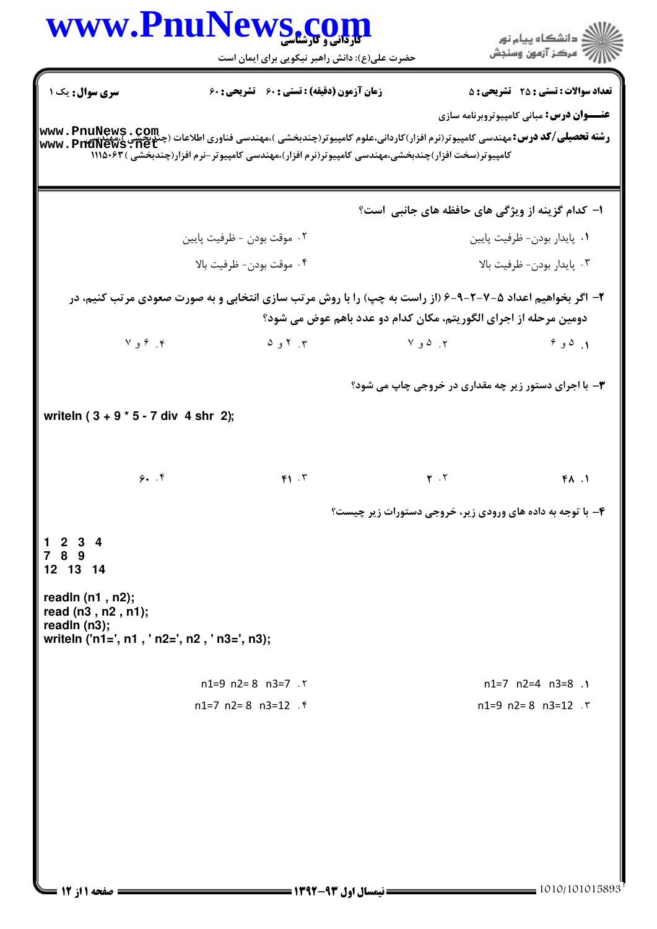| www.PnuNews.com                                                                                           | <b>کاردانی و کارشناسی</b><br>حضرت علی(ع): دانش راهبر نیکویی برای ایمان است |                                                                                                  | دانشگاه پيام نور $\le$<br>ر آمرڪز آزمون وسنڊش                                                                                                                              |
|-----------------------------------------------------------------------------------------------------------|----------------------------------------------------------------------------|--------------------------------------------------------------------------------------------------|----------------------------------------------------------------------------------------------------------------------------------------------------------------------------|
| <b>سری سوال :</b> یک ۱                                                                                    | <b>زمان آزمون (دقیقه) : تستی : 60 تشریحی : 60</b>                          |                                                                                                  | <b>تعداد سوالات : تستی : 25 ۔ تشریحی : 5</b><br><b>عنـــوان درس:</b> مبانی کامپیوتروبرنامه سازی                                                                            |
|                                                                                                           |                                                                            | کامپیوتر(سخت افزار)چندبخشی،مهندسی کامپیوتر(نرم افزار)،مهندسی کامپیوتر-نرم افزار(چندبخشی )۱۱۱۵۰۶۳ | <b>www . PnuNews . Com</b><br><b>رشته تحصیلی/کد درس:</b> مهندسی کامپیوتر(نرم افزار)کاردانی،علوم کامپیوتر(چندبخشی )،مهندسی فناوری اطلاعات (چنگ : Tat<br>www . PnuNews . net |
|                                                                                                           |                                                                            |                                                                                                  | ا– کدام گزینه از ویژگی های حافظه های جانبی است؟                                                                                                                            |
|                                                                                                           | ٢. موقت بودن - ظرفيت پايين                                                 |                                                                                                  | ٠١. پايدار بودن- ظرفيت پايين                                                                                                                                               |
|                                                                                                           | ۰۴ موقت بودن- ظرفيت بالا                                                   |                                                                                                  | ۰۳ پايدار بودن- ظرفيت بالا                                                                                                                                                 |
|                                                                                                           |                                                                            | دومین مرحله از اجرای الگوریتم، مکان کدام دو عدد باهم عوض می شود؟                                 | ۲- اگر بخواهیم اعداد ۵-۷-۲-۹-۶ (از راست به چپ) را با روش مرتب سازی انتخابی و به صورت صعودی مرتب کنیم، در                                                                   |
| ۴. ۶ و ۷                                                                                                  | ۳. ۲ و ۵                                                                   | $Y$ ج . $\Omega$ و $Y$                                                                           | 9, 0, 1                                                                                                                                                                    |
|                                                                                                           |                                                                            |                                                                                                  | <b>۳</b> - با اجرای دستور زیر چه مقداری در خروجی چاپ می شود؟                                                                                                               |
| writeln $(3 + 9 * 5 - 7)$ div 4 shr 2);                                                                   |                                                                            |                                                                                                  |                                                                                                                                                                            |
| 9.7                                                                                                       | F1.7                                                                       | $\mathbf{Y}$ . $\mathbf{Y}$                                                                      | FA.1                                                                                                                                                                       |
|                                                                                                           |                                                                            |                                                                                                  | ۴- با توجه به داده های ورودی زیر، خروجی دستورات زیر چیست؟                                                                                                                  |
| 1234<br>7 8 9<br>12 13 14                                                                                 |                                                                            |                                                                                                  |                                                                                                                                                                            |
| readln $(n1, n2)$ ;<br>read (n3, n2, n1);<br>readln (n3);<br>writeln ('n1=', n1, ' n2=', n2, ' n3=', n3); |                                                                            |                                                                                                  |                                                                                                                                                                            |
|                                                                                                           |                                                                            |                                                                                                  |                                                                                                                                                                            |
|                                                                                                           | n1=9 n2=8 n3=7 $.7$<br>$n1=7$ $n2=8$ $n3=12$ $\ell$                        |                                                                                                  | $n1=7$ $n2=4$ $n3=8$ .<br>$n1=9$ $n2=8$ $n3=12$ $\cdot$ $\cdot$                                                                                                            |
|                                                                                                           |                                                                            |                                                                                                  |                                                                                                                                                                            |
|                                                                                                           |                                                                            |                                                                                                  |                                                                                                                                                                            |
|                                                                                                           |                                                                            |                                                                                                  |                                                                                                                                                                            |
|                                                                                                           |                                                                            |                                                                                                  |                                                                                                                                                                            |
|                                                                                                           |                                                                            |                                                                                                  |                                                                                                                                                                            |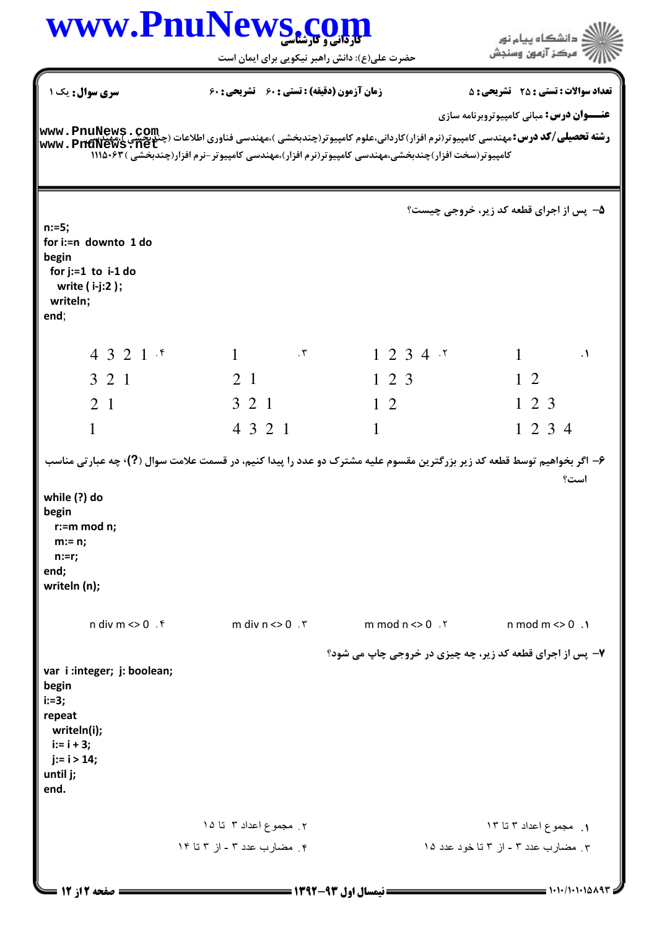|                                                                    | www.PnuNews.co<br><b>کا, دانی و کارشناسی</b>                                                                                                                                                                                                                                         |                                                          | ن<br>د انشکاه پیام نو <b>ر</b>                  |
|--------------------------------------------------------------------|--------------------------------------------------------------------------------------------------------------------------------------------------------------------------------------------------------------------------------------------------------------------------------------|----------------------------------------------------------|-------------------------------------------------|
|                                                                    | حضرت علی(ع): دانش راهبر نیکویی برای ایمان است                                                                                                                                                                                                                                        |                                                          | رِ ۖ مرڪز آزمون وسنڊش                           |
| سری سوال : یک ۱                                                    | زمان آزمون (دقیقه) : تستی : 60 تشریحی : 60                                                                                                                                                                                                                                           |                                                          | <b>تعداد سوالات : تستی : 25 - تشریحی : 5</b>    |
|                                                                    |                                                                                                                                                                                                                                                                                      |                                                          | <b>عنـــوان درس:</b> مبانی کامپیوتروبرنامه سازی |
|                                                                    | <b>www . PnuNews . Com</b><br>  <b>وشته تحصیلی/کد درس:</b> مهندسی کامپیوتر(نرم افزار)کاردانی،علوم کامپیوتر(چندبخشی )،مهندسی فناوری اطلاعات (چنگ میکنیم<br>  www . PnuNews : net<br>کامپیوتر(سخت افزار)چندبخشی،مهندسی کامپیوتر(نرم افزار)،مهندسی کامپیوتر-نرم افزار(چندبخشی ) ۱۱۱۵۰۶۳ |                                                          |                                                 |
|                                                                    |                                                                                                                                                                                                                                                                                      |                                                          | ۵- پس از اجرای قطعه کد زیر، خروجی چیست؟         |
| $n:=5;$<br>for i:=n downto 1 do<br>begin<br>for $j:=1$ to $i-1$ do |                                                                                                                                                                                                                                                                                      |                                                          |                                                 |
| write ( i-j:2 ) ;<br>writeln;<br>end;                              |                                                                                                                                                                                                                                                                                      |                                                          |                                                 |
| 4321                                                               | $1 \qquad \qquad . \mathsf{r}$                                                                                                                                                                                                                                                       | 1234.5                                                   | $1 \quad \Box$<br>$\cdot$                       |
| 3 2 1                                                              | 2 1                                                                                                                                                                                                                                                                                  | 1 2 3                                                    | $1\,2$                                          |
| 2 <sub>1</sub>                                                     | 3 2 1                                                                                                                                                                                                                                                                                | $1\quad2$                                                | $1\ 2\ 3$                                       |
| $\mathbf{1}$                                                       | 4 3 2 1                                                                                                                                                                                                                                                                              | $1 \quad$                                                | 1 2 3 4                                         |
| while (?) do                                                       | ۶- اگر بخواهیم توسط قطعه کد زیر بزرگترین مقسوم علیه مشترک دو عدد را پیدا کنیم، در قسمت علامت سوال (?)، چه عبارتي مناسب                                                                                                                                                               |                                                          | است؟                                            |
| begin<br>$r:=m \mod n$ ;<br>$m:= n;$<br>$n:=r;$                    |                                                                                                                                                                                                                                                                                      |                                                          |                                                 |
| end;<br>writeln (n);                                               |                                                                                                                                                                                                                                                                                      |                                                          |                                                 |
| n div $m \ll 0$ . ۴                                                | m div $n \leq 0$ . $\zeta$                                                                                                                                                                                                                                                           | $m \mod n \ll 0$ . $\lceil$                              | $n \mod m \ll 0$ .                              |
|                                                                    |                                                                                                                                                                                                                                                                                      | ۷- پس از اجرای قطعه کد زیر، چه چیزی در خروجی چاپ می شود؟ |                                                 |
| var i: integer; j: boolean;<br>begin                               |                                                                                                                                                                                                                                                                                      |                                                          |                                                 |
| $i:=3;$<br>repeat<br>writeln(i);<br>$i := i + 3;$                  |                                                                                                                                                                                                                                                                                      |                                                          |                                                 |
| $j := i > 14;$<br>until j;<br>end.                                 |                                                                                                                                                                                                                                                                                      |                                                          |                                                 |
|                                                                    | ۲. مجموع اعداد ۳ تا ۱۵                                                                                                                                                                                                                                                               |                                                          | ۱. مجموع اعداد ۳ تا ۱۳                          |
|                                                                    | ۴. مضارب عدد ۳ - از ۳ تا ۱۴                                                                                                                                                                                                                                                          |                                                          | ۳. مضارب عدد ۳ - از ۳ تا خود عدد ۱۵             |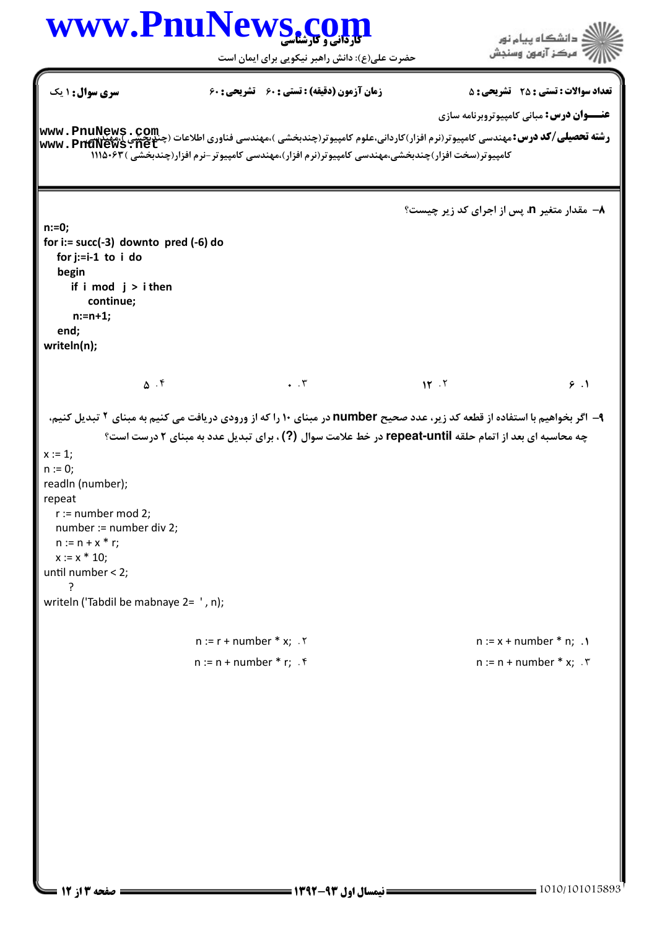## www.PnuNews.co

حضرت علی(ع): دانش راهبر نیکویی برای ایمان است

**تعداد سوالات : تستی : 25 - تشریحی : 5 سری سوال: ۱ یک** زمان آزمون (دقيقه) : تستى ; ۶۰٪ تشريحي ; ۶۰ **عنــوان درس:** مباني کامييوتروبرنامه سازي www.PnuNews.net کامپیوتر(سخت افزار)چندیخشی،مهندسی کامپیوتر(نرم افزار)،مهندسی کامپیوتر –نرم افزار(چندیخشی )۶۳-۱۱۱۵ A− مقدار متغیر n، پس از اجرای کد زیر چیست؟  $n:=0:$ for i:=  $succ(-3)$  downto pred  $(-6)$  do for  $i:=i-1$  to  $i$  do begin if  $i \mod j > i$  then continue;  $n:=n+1$ : end; writeln(n);  $\Delta$ . ۴  $\cdot$   $\cdot$   $\mathsf{r}$  $15.7$  $9.1$ ۹- اگر بخواهیم با استفاده از قطعه کد زیر، عدد صحیح number در مبنای ۱۰ را که از ورودی دریافت می کنیم به مبنای ۲ تبدیل کنیم، چه محاسبه ای بعد از اتمام حلقه repeat-until در خط علامت سوال (?) ، برای تبدیل عدد به مبنای ۲ درست است؟  $x := 1$ :  $n := 0;$ readln (number); repeat  $r :=$  number mod 2; number := number div 2;  $n := n + x * r$ ;  $x := x * 10$ ; until number < 2;  $\overline{ }$ writeln ('Tabdil be mabnaye 2= ', n);  $n := r + number * x$ ; . ٢  $n := x + number * n;$ .  $n := n + number * r$ : f  $n := n + number * x$ : '

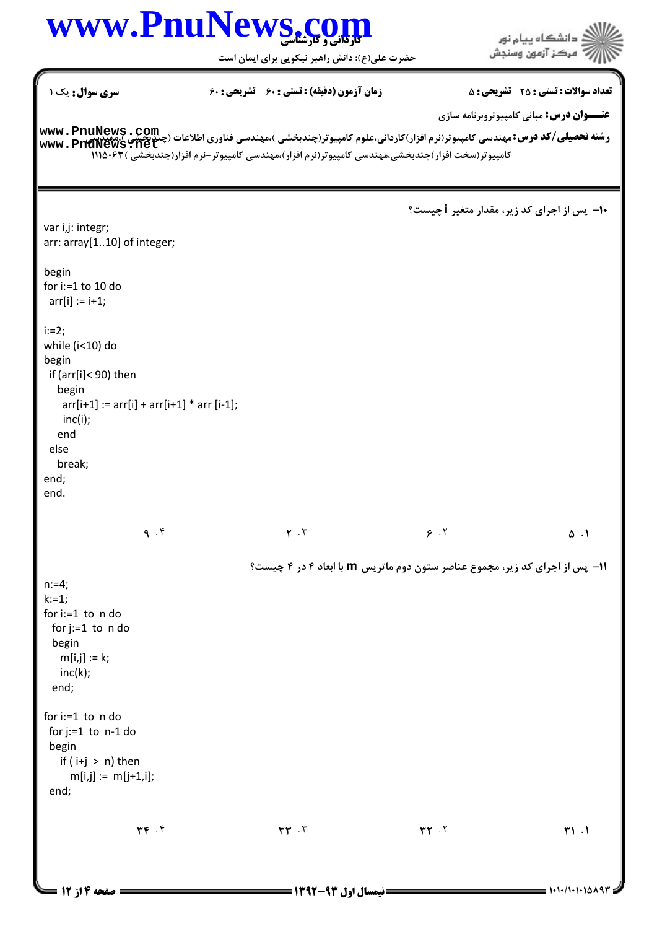حضرت علي(ع): دانش راهبر نيكويي براي ايمان است

| <b>سری سوال :</b> یک ۱                                                                                                                                                                                                                                                           | <b>زمان آزمون (دقیقه) : تستی : 60 تشریحی : 60</b> |                                                                                                  | <b>تعداد سوالات : تستی : 25 ۔ تشریحی : 5</b><br><b>عنـــوان درس:</b> مبانی کامپیوتروبرنامه سازی |
|----------------------------------------------------------------------------------------------------------------------------------------------------------------------------------------------------------------------------------------------------------------------------------|---------------------------------------------------|--------------------------------------------------------------------------------------------------|-------------------------------------------------------------------------------------------------|
| <b>www . PnuNews . Com</b><br>و <b>شته تحصیلی/گد درس:</b> مهندسی کامپیوتر(نرم افزار)کاردانی،علوم کامپیوتر(چندبخشی )،مهندسی فناوری اطلاعات (چندبخشی )،مهندسی<br> www . PnuNews . net                                                                                              |                                                   | کامپیوتر(سخت افزار)چندبخشی،مهندسی کامپیوتر(نرم افزار)،مهندسی کامپیوتر-نرم افزار(چندبخشی )۱۱۱۵۰۶۳ |                                                                                                 |
| var i,j: integr;<br>arr: array[110] of integer;<br>begin<br>for $i:=1$ to 10 do<br>$arr[i] := i + 1;$<br>$i:=2;$<br>while (i<10) do<br>begin<br>if (arr[i]< 90) then<br>begin<br>$arr[i+1] := arr[i] + arr[i+1] * arr[i-1];$<br>inc(i);<br>end<br>else<br>break;<br>end;<br>end. |                                                   | +۱- یس از اجرای کد زیر، مقدار متغیر i چیست؟                                                      |                                                                                                 |
| 9.9                                                                                                                                                                                                                                                                              | $Y \cdot Y$                                       | 9.7                                                                                              | $\Delta$ .                                                                                      |
| $n:=4;$<br>$k:=1;$<br>for $i:=1$ to $n$ do<br>for $j:=1$ to $n$ do<br>begin<br>$m[i,j] := k;$<br>inc(k);<br>end;<br>for $i:=1$ to $n$ do<br>for $j:=1$ to $n-1$ do<br>begin<br>if $(i+j > n)$ then<br>$m[i,j] := m[j+1,i];$                                                      |                                                   | <b>۱۱</b> - پس از اجرای کد زیر، مجموع عناصر ستون دوم ماتریس m با ابعاد ۴ در ۴ چیست؟              |                                                                                                 |
| end;<br>$\mathbf{r} \mathbf{r}$ . $\mathbf{r}$                                                                                                                                                                                                                                   | $rr$ .                                            | YY.7                                                                                             | T1.1                                                                                            |

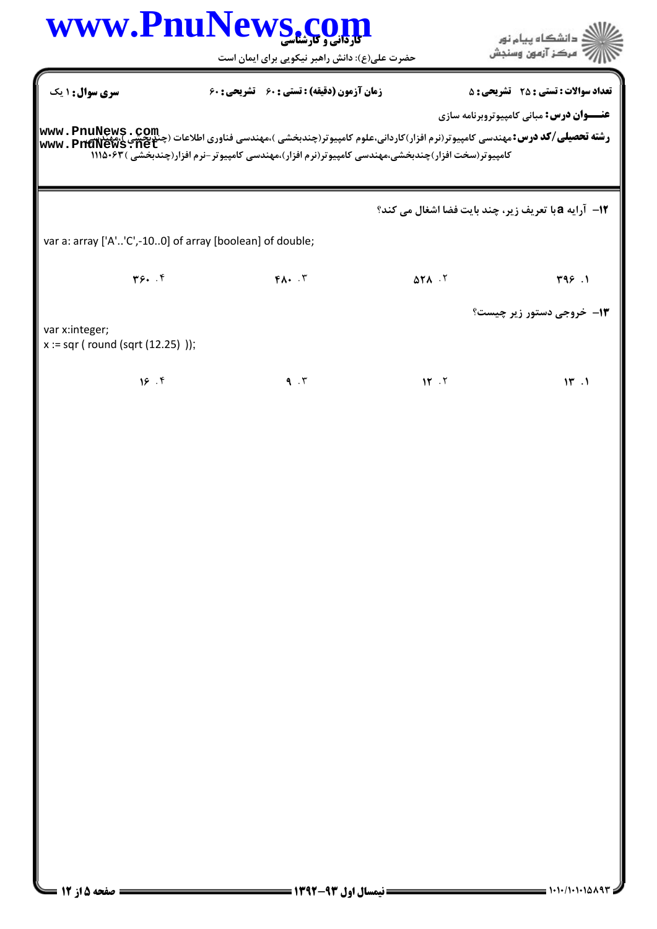| WWW.PnuNews.com                                          |                                                     |                                                                                                   | ≦ دانشگاه پيام نو <b>ر</b><br>مركز آزمون وسنجش                                                                                                                                                                                    |
|----------------------------------------------------------|-----------------------------------------------------|---------------------------------------------------------------------------------------------------|-----------------------------------------------------------------------------------------------------------------------------------------------------------------------------------------------------------------------------------|
|                                                          | حضرت علی(ع): دانش راهبر نیکویی برای ایمان است       |                                                                                                   |                                                                                                                                                                                                                                   |
| سری سوال : ۱ یک                                          | <b>زمان آزمون (دقیقه) : تستی : 60 ٪ تشریحی : 60</b> |                                                                                                   | <b>تعداد سوالات : تستی : 25 ۔ تشریحی : 5</b>                                                                                                                                                                                      |
|                                                          |                                                     | کامپیوتر(سخت افزار)چندبخشی،مهندسی کامپیوتر(نرم افزار)،مهندسی کامپیوتر-نرم افزار(چندبخشی ) ۱۱۱۵۰۶۳ | <b>عنـــوان درس:</b> مبانی کامپیوتروبرنامه سازی<br><b>رشته تحصیلی/کد درس:</b> مهندسی کامپیوتر(نرم افزار)کاردانی،علوم کامپیوتر(چندبخشی )،مهندسی فناوری اطلاعات (چندبخشی )،مهندسی <b>www . PnuNews ، Com</b><br>www . PnuNews . net |
|                                                          |                                                     |                                                                                                   | 12- آرایه a با تعریف زیر، چند بایت فضا اشغال می کند؟                                                                                                                                                                              |
| var a: array ['A''C',-100] of array [boolean] of double; |                                                     |                                                                                                   |                                                                                                                                                                                                                                   |
| Y5. .f                                                   | $FA.$ $.7$                                          | $\Delta Y \wedge \cdot Y$                                                                         | T99.1                                                                                                                                                                                                                             |
|                                                          |                                                     |                                                                                                   | <b>۱۳- خروجي دستور زير چيست؟</b>                                                                                                                                                                                                  |
| var x:integer;<br>$x := \sqrt{sqrt(12.25)}$ );           |                                                     |                                                                                                   |                                                                                                                                                                                                                                   |
| 18.9                                                     | 9.7                                                 | 15.7                                                                                              | 15.1                                                                                                                                                                                                                              |
|                                                          |                                                     |                                                                                                   |                                                                                                                                                                                                                                   |
|                                                          |                                                     |                                                                                                   |                                                                                                                                                                                                                                   |
|                                                          |                                                     |                                                                                                   |                                                                                                                                                                                                                                   |
|                                                          |                                                     |                                                                                                   |                                                                                                                                                                                                                                   |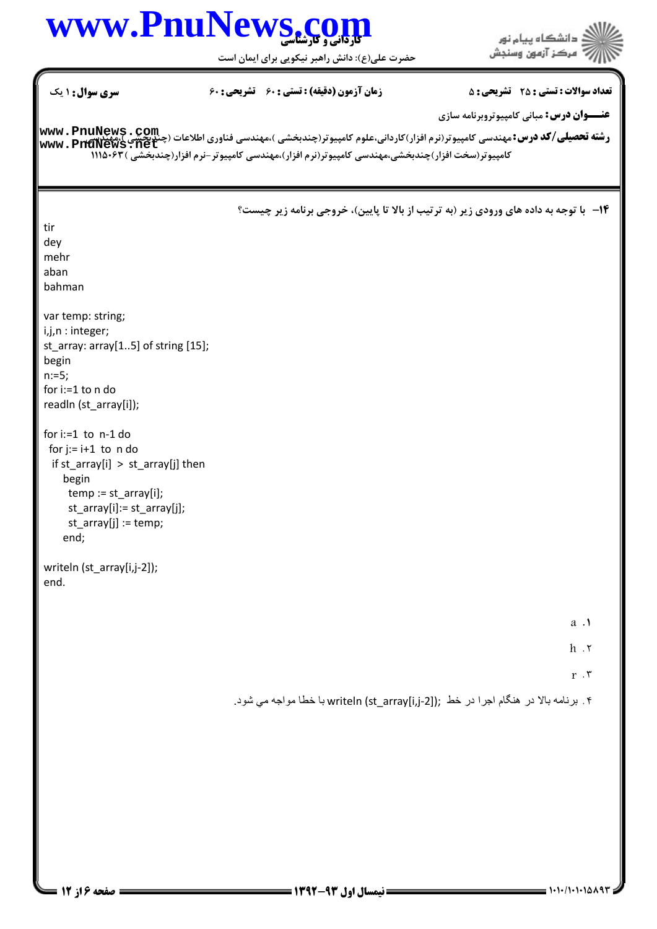# www.PnuNews.com

حضرت علی(ع): دانش راهبر نیکویی برای ایمان است

| <b>سری سوال : ۱ یک</b>                                                                                                                                                                     | <b>زمان آزمون (دقیقه) : تستی : 60 تشریحی : 60</b>                                                | <b>تعداد سوالات : تستی : 25 ۔ تشریحی : 5</b>                                                                                                                                                                                      |
|--------------------------------------------------------------------------------------------------------------------------------------------------------------------------------------------|--------------------------------------------------------------------------------------------------|-----------------------------------------------------------------------------------------------------------------------------------------------------------------------------------------------------------------------------------|
|                                                                                                                                                                                            | کامپیوتر(سخت افزار)چندبخشی،مهندسی کامپیوتر(نرم افزار)،مهندسی کامپیوتر-نرم افزار(چندبخشی )۱۱۱۵۰۶۳ | <b>عنـــوان درس:</b> مبانی کامپیوتروبرنامه سازی<br><b>رشته تحصیلی/کد درس:</b> مهندسی کامپیوتر(نرم افزار)کاردانی،علوم کامپیوتر(چندبخشی )،مهندسی فناوری اطلاعات (چندبخشی )،مهندسی <b>www . PnuNews ، Com</b><br>www . PnuNews . net |
| tir<br>dey<br>mehr<br>aban<br>bahman<br>var temp: string;<br>i,j,n: integer;<br>st_array: array[15] of string [15];<br>begin                                                               |                                                                                                  | <b>۱۴</b> - با توجه به داده های ورودی زیر (به ترتیب از بالا تا پایین)، خروجی برنامه زیر چیست؟                                                                                                                                     |
| $n:=5;$<br>for i:=1 to n do<br>readln (st_array[i]);                                                                                                                                       |                                                                                                  |                                                                                                                                                                                                                                   |
| for $i:=1$ to $n-1$ do<br>for $j := i + 1$ to n do<br>if st_array[i] > st_array[j] then<br>begin<br>$temp := st_array[i];$<br>st_array[i]:= st_array[j];<br>$st_array[j] := temp;$<br>end; |                                                                                                  |                                                                                                                                                                                                                                   |
| writeln (st_array[i,j-2]);<br>end.                                                                                                                                                         |                                                                                                  |                                                                                                                                                                                                                                   |
|                                                                                                                                                                                            |                                                                                                  | a .1                                                                                                                                                                                                                              |
|                                                                                                                                                                                            |                                                                                                  | $h \cdot r$<br>r $\cdot$                                                                                                                                                                                                          |
|                                                                                                                                                                                            |                                                                                                  | ۴. برنامه بالا در هنگام اجرا در خط ;writeln (st_array[i,j-2]) با خطا مواجه مي شود.                                                                                                                                                |
|                                                                                                                                                                                            |                                                                                                  |                                                                                                                                                                                                                                   |
|                                                                                                                                                                                            |                                                                                                  |                                                                                                                                                                                                                                   |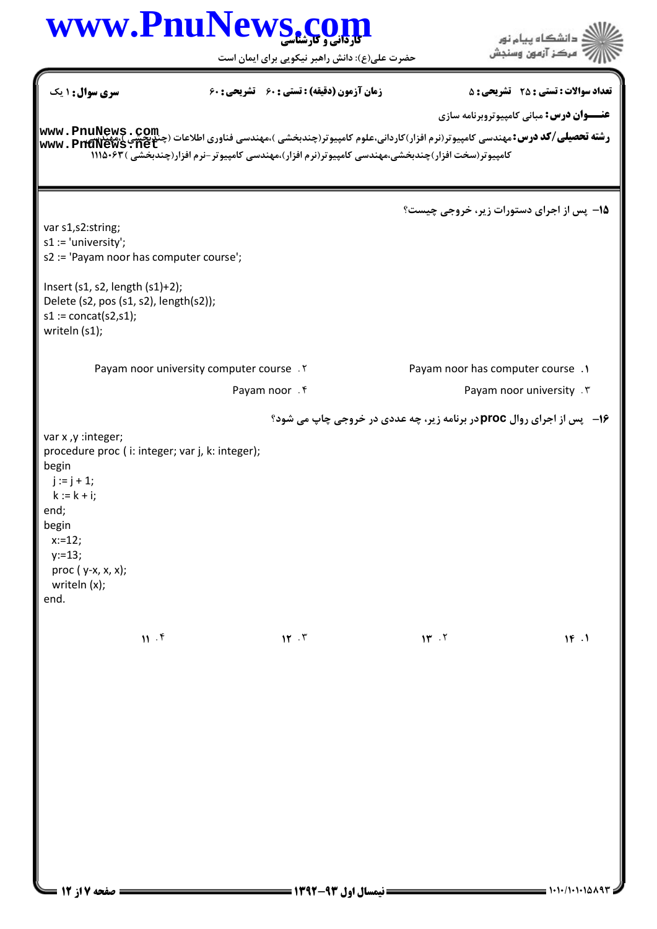#### كارداني و كارشناسي **[www.PnuNews.com](http://www.PnuNews.com)** دانشگاه پیام نور مركز آزمون وسنجش حضرت علي(ع): دانش راهبر نيكويي براي ايمان است نعداد سوالات : تستي : 25 تشريحي : 58 زمان آزمون (دقيقه) : تستي : 60 تشريحي : 60 ( **عنـــوان درس:** مبانی کامپیوتروبرنامه سازی ر**شته تحصیلی/کد درس:** مهندسی کامپیوتر(نرم افزار)کاردانی،علوم کامپیوتر(چندبخشی )،مهندسی فناوری اطلاعات (چن<u>دبخشی )</u>،مهندیچی<br>ر**شته تحصیلی/کد درس:** مهندسی کامپیوتر(نرم افزار)کاردانی،علوم کامپیوتر(چندبخشی )،مهندسی فناوری اطلا مهندسی 'نامپیو برربرم افرار' ناردانی،عنوم 'نامپیوتررچندبخشتی \،شهندسی صاوری اصلاحات / جیست / جیست Www . PnuNew<br>کامپیوتر(سخت افزار)چندبخشی،مهندسی کامپیوتر(نرم افزار)،مهندسی کامپیوتر -نرم افزار(چندبخشی) ۱۱۱۵۰۶۳ **[www.PnuNews.net](http://pnunews.net)**پس از اجراي دستورات زير، خروجي چيست؟ 15 var s1,s2:string; s1 := 'university'; s2 := 'Payam noor has computer course'; Insert (s1, s2, length (s1)+2); Delete (s2, pos (s1, s2), length(s2));  $s1 := \text{concat}(s2, s1);$ writeln (s1); All Payam noor has computer course. Payam noor university computer course . Y Payam noor F Contract Contract Payam noor university F پس از اجراي روال **proc** در برنامه زير، چه عددي در خروجي چاپ مي شود؟ 16 var x ,y :integer; procedure proc ( i: integer; var j, k: integer); begin  $j := j + 1;$  $k := k + i;$ end; begin x:=12; y:=13; proc  $(y-x, x, x)$ ; writeln (x); end.  $\mathbf{r}$  .  $\mathbf{r}$  .  $\mathbf{r}$  .  $\mathbf{r}$  .  $\mathbf{r}$  .  $\mathbf{r}$  .  $\mathbf{r}$  $\sqrt{17}$   $\sqrt{17}$   $\sqrt{17}$   $\sqrt{17}$   $\sqrt{17}$  $11.5$  $\mathbf{M} \cdot \mathbf{r}$   $\mathbf{M} \cdot \mathbf{r}$   $\mathbf{M} \cdot \mathbf{r}$   $\mathbf{M} \cdot \mathbf{r}$   $\mathbf{M} \cdot \mathbf{r}$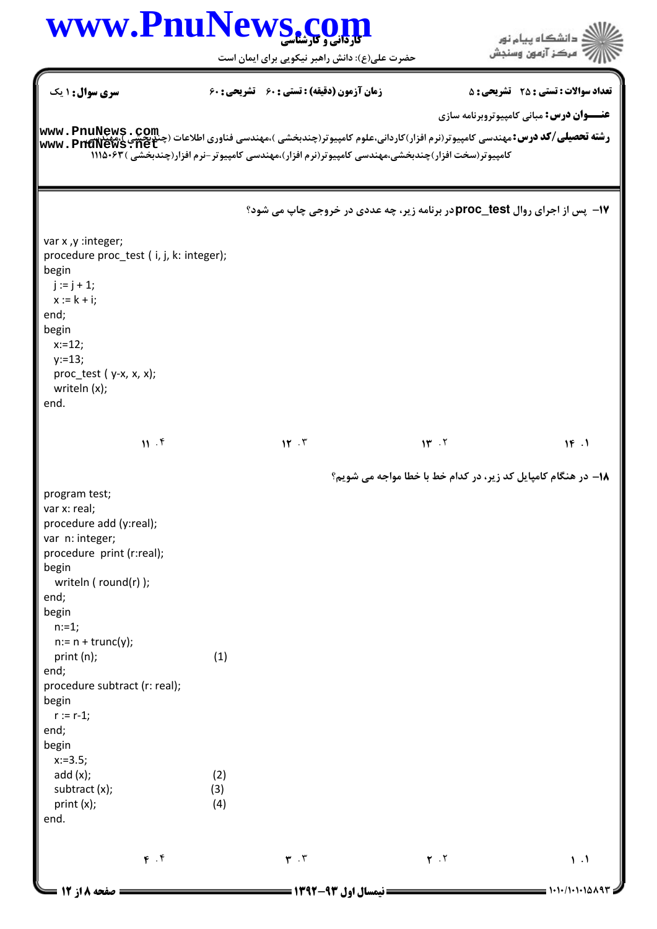حضرت علي(ع): دانش راهبر نيكويي براي ايمان است

ے<br>جگڑالاتھ دانشگاہ پیام نور<br>جگڑار/

| سری سوال: ۱ یک                                                                                                                                                             |     | <b>زمان آزمون (دقیقه) : تستی : 60 ٪ تشریحی : 60</b> |                                                                                                  | <b>تعداد سوالات : تستی : 25 ۔ تشریحی : 5</b>                             |  |
|----------------------------------------------------------------------------------------------------------------------------------------------------------------------------|-----|-----------------------------------------------------|--------------------------------------------------------------------------------------------------|--------------------------------------------------------------------------|--|
|                                                                                                                                                                            |     |                                                     |                                                                                                  | <b>عنـــوان درس:</b> مبانی کامپیوتروبرنامه سازی                          |  |
| <b>رشته تحصیلی/کد درس:</b> مهندسی کامپیوتر(نرم افزار)کاردانی،علوم کامپیوتر(چندبخشی )،مهندسی فناوری اطلاعات (چندبخشی )،مهندسی کامپیوتر(نرم افزار)کل<br> www . PnuNews . net |     |                                                     |                                                                                                  |                                                                          |  |
|                                                                                                                                                                            |     |                                                     | کامپیوتر(سخت افزار)چندبخشی،مهندسی کامپیوتر(نرم افزار)،مهندسی کامپیوتر-نرم افزار(چندبخشی )۸۴۰۵/۱۱ |                                                                          |  |
|                                                                                                                                                                            |     |                                                     |                                                                                                  |                                                                          |  |
|                                                                                                                                                                            |     |                                                     |                                                                                                  |                                                                          |  |
|                                                                                                                                                                            |     |                                                     |                                                                                                  | 17- پس از اجرای روال proc_testر برنامه زیر، چه عددی در خروجی چاپ می شود؟ |  |
| var x ,y : integer;                                                                                                                                                        |     |                                                     |                                                                                                  |                                                                          |  |
| procedure proc_test (i, j, k: integer);                                                                                                                                    |     |                                                     |                                                                                                  |                                                                          |  |
| begin                                                                                                                                                                      |     |                                                     |                                                                                                  |                                                                          |  |
| $j := j + 1;$<br>$x := k + i;$                                                                                                                                             |     |                                                     |                                                                                                  |                                                                          |  |
| end;                                                                                                                                                                       |     |                                                     |                                                                                                  |                                                                          |  |
| begin                                                                                                                                                                      |     |                                                     |                                                                                                  |                                                                          |  |
| $x:=12;$                                                                                                                                                                   |     |                                                     |                                                                                                  |                                                                          |  |
| $y:=13;$                                                                                                                                                                   |     |                                                     |                                                                                                  |                                                                          |  |
| $proc_test (y-x, x, x);$<br>writeln (x);                                                                                                                                   |     |                                                     |                                                                                                  |                                                                          |  |
| end.                                                                                                                                                                       |     |                                                     |                                                                                                  |                                                                          |  |
|                                                                                                                                                                            |     |                                                     |                                                                                                  |                                                                          |  |
| 11.5                                                                                                                                                                       |     | 15.7                                                | 14.7                                                                                             | 16.1                                                                     |  |
|                                                                                                                                                                            |     |                                                     |                                                                                                  |                                                                          |  |
|                                                                                                                                                                            |     |                                                     |                                                                                                  | 1۸– در هنگام کامپایل کد زیر، در کدام خط با خطا مواجه می شویم؟            |  |
| program test;                                                                                                                                                              |     |                                                     |                                                                                                  |                                                                          |  |
| var x: real;                                                                                                                                                               |     |                                                     |                                                                                                  |                                                                          |  |
| procedure add (y:real);<br>var n: integer;                                                                                                                                 |     |                                                     |                                                                                                  |                                                                          |  |
| procedure print (r:real);                                                                                                                                                  |     |                                                     |                                                                                                  |                                                                          |  |
| begin                                                                                                                                                                      |     |                                                     |                                                                                                  |                                                                          |  |
| writeln ( round(r) );                                                                                                                                                      |     |                                                     |                                                                                                  |                                                                          |  |
| end;                                                                                                                                                                       |     |                                                     |                                                                                                  |                                                                          |  |
| begin                                                                                                                                                                      |     |                                                     |                                                                                                  |                                                                          |  |
| $n:=1;$<br>$n:= n + \text{trunc}(y);$                                                                                                                                      |     |                                                     |                                                                                                  |                                                                          |  |
| print (n);                                                                                                                                                                 | (1) |                                                     |                                                                                                  |                                                                          |  |
| end;                                                                                                                                                                       |     |                                                     |                                                                                                  |                                                                          |  |
| procedure subtract (r: real);                                                                                                                                              |     |                                                     |                                                                                                  |                                                                          |  |
| begin                                                                                                                                                                      |     |                                                     |                                                                                                  |                                                                          |  |
| $r := r-1;$<br>end;                                                                                                                                                        |     |                                                     |                                                                                                  |                                                                          |  |
| begin                                                                                                                                                                      |     |                                                     |                                                                                                  |                                                                          |  |
| $x:=3.5;$                                                                                                                                                                  |     |                                                     |                                                                                                  |                                                                          |  |
| add(x);                                                                                                                                                                    | (2) |                                                     |                                                                                                  |                                                                          |  |
| subtract (x);                                                                                                                                                              | (3) |                                                     |                                                                                                  |                                                                          |  |
| print(x);                                                                                                                                                                  | (4) |                                                     |                                                                                                  |                                                                          |  |
| end.                                                                                                                                                                       |     |                                                     |                                                                                                  |                                                                          |  |
|                                                                                                                                                                            |     |                                                     |                                                                                                  |                                                                          |  |
| F. f                                                                                                                                                                       |     | $\mathbf{r}$ . $\mathbf{r}$                         | $\mathbf{r}$ . $\mathbf{r}$                                                                      | $\mathbf{1}$ .                                                           |  |
| <b>صفحه 8 از 12 =</b>                                                                                                                                                      |     | ا نیمسال اول ۹۳-۱۳۹۲ =                              |                                                                                                  | $1 - 1 - 1 - 1 - 10197 =$                                                |  |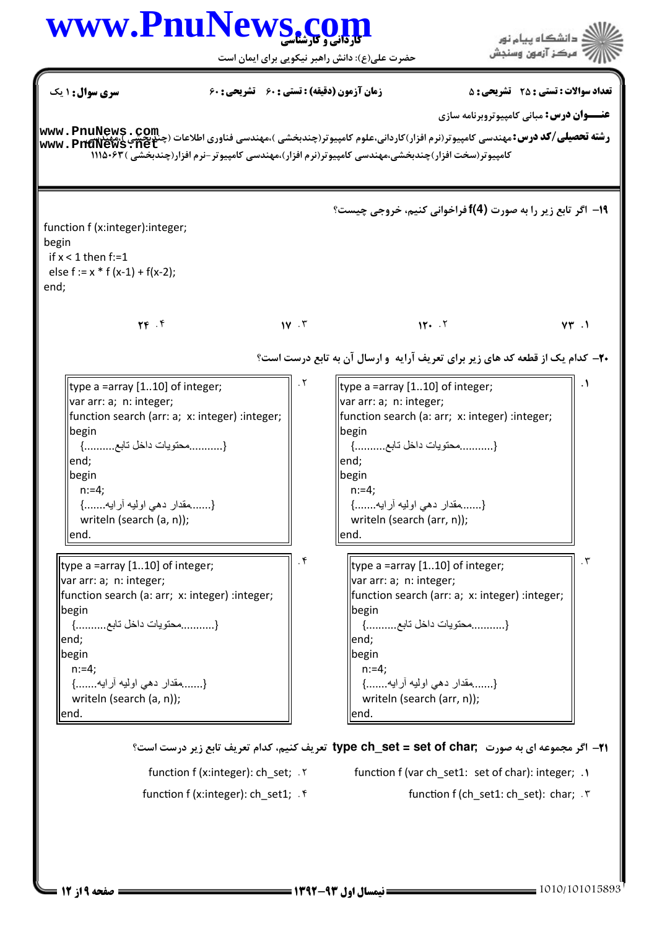#### www.PnuNews.co .<br>ڏ دانشڪاه پيام نور<br>: " مرڪز آزمون وسنڊش حضرت علی(ع): دانش راهبر نیکویی برای ایمان است **سری سوال : ۱ یک تعداد سوالات : تستي : 25 - تشريحي : 5** زمان آزمون (دقیقه) : تستی ; ۶۰ - تشریحی ; ۶۰ **عنـــوان درس:** مباني کامييوتروبرنامه سازي **رشته تحصیلی/کد درس:**مهندسی کامپیوتر(نرم افزار)کاردانی،علوم کامپیوتر(چندبخشی )،مهندسی فناوری اطلاعات (چندچیسی Ruww **. PnuNews . com**<br>- – – – – – سیلهای **کد درس:**مهندسی کامپیوتر(نرم افزار)کاردانی،علوم کامپیوتر(چندبخشی )،مه www.PnuNews.net کامپیوتر(سخت افزار)چندبخشی،مهندسی کامپیوتر(نرم افزار)،مهندسی کامپیوتر-نرم افزار(چندبخشی )۶۳-۱۱۱۵ 19- اگر تابع زیر را به صورت (4)f فراخوانی کنیم، خروجی چیست؟ function f (x:integer):integer: hegin if  $x < 1$  then f:=1 else  $f := x * f(x-1) + f(x-2);$ end:  $YF$ .  $1Y \cdot Y$  $11.7$  $VT.1$ **۲۰**– کدام یک از قطعه کد های زیر برای تعریف آرایه و ارسال آن به تابع درست است؟  $.7$ type a =array  $[1..10]$  of integer; type a =array  $[1..10]$  of integer; var arr: a; n: integer; var arr: a; n: integer; |function search (arr: a; x: integer) :integer; function search (a: arr; x: integer) :integer; begin lbegin {...........محتويات داخل تابع..........} {...........محتويات داخل تابع..........} lend: lend: begin begin  $n:=4$ :  $n:=4$ : {.......مقدار دهي اوليه أرايه.......} {.......مقدار دهي اوليه أرايه.......} writeln (search (a, n)); writeln (search (arr, n)); lend. end. .  $\mathbf f$  $\cdot$ ٣ type a =array  $[1..10]$  of integer;  $\parallel$ type a =array [1..10] of integer; var arr: a; n: integer; var arr: a; n: integer; |function search (a: arr; x: integer) :integer; |function search (arr: a; x: integer) :integer; begin begin {............محتويات داخل تابع..........} {...........محتويات داخل تابع..........} lend; lend; llbegin llbegin  $n:=4$ :  $n:=4$ : {.........مقدار دهي اوليه أرايه.......} {.........مقدار دهي اوليه أرايه.......} writeln (search (a, n)); writeln (search (arr, n)); lend. lend.

71- اگر مجموعه ای به صورت ,type ch\_set = set of char تعریف کنیم، کدام تعریف تابع زیر درست است؟

function f (x:integer): ch\_set; Y function f (var ch\_set1: set of char): integer; 1

- function f (x:integer): ch set1; . f
- - function f (ch set1: ch set): char; . ٣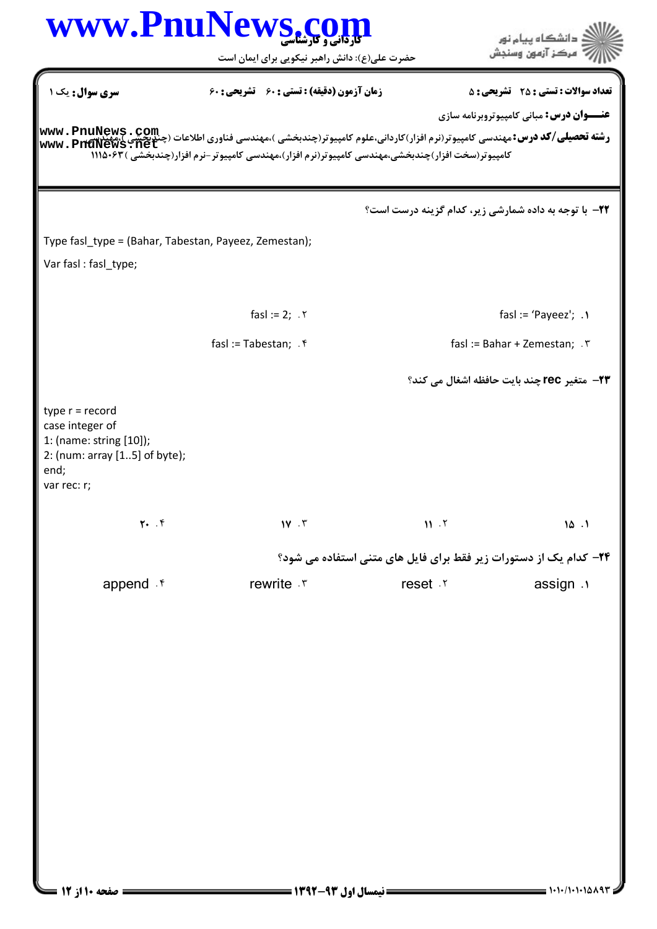|                                                          | WWW.PnuNews.com                                                                                                                                                                                                                                                                        |                                                                           | ءُ دانشگاه پيام نور                                |
|----------------------------------------------------------|----------------------------------------------------------------------------------------------------------------------------------------------------------------------------------------------------------------------------------------------------------------------------------------|---------------------------------------------------------------------------|----------------------------------------------------|
|                                                          | حضرت علی(ع): دانش راهبر نیکویی برای ایمان است                                                                                                                                                                                                                                          |                                                                           | مركز آزمون وسنجش                                   |
| <b>سری سوال :</b> یک ۱                                   | <b>زمان آزمون (دقیقه) : تستی : 60 گشریحی : 60</b>                                                                                                                                                                                                                                      |                                                                           | <b>تعداد سوالات : تستی : 25 ۔ تشریحی : 5</b>       |
|                                                          |                                                                                                                                                                                                                                                                                        |                                                                           | <b>عنـــوان درس:</b> مباني کامپيوتروبرنامه سازي    |
|                                                          | <b>www . PnuNews . COM</b><br>و <b>شته تحصیلی/کد درس:</b> مهندسی کامپیوتر(نرم افزار)کاردانی،علوم کامپیوتر(چندبخشی )،مهندسی فناوری اطلاعات (چندبخشی )،مهندسی<br>www . PnuNews . net<br>کامپیوتر(سخت افزار)چندبخشی،مهندسی کامپیوتر(نرم افزار)،مهندسی کامپیوتر-نرم افزار(چندبخشی )۸۴۰۵/۱۱ |                                                                           |                                                    |
|                                                          |                                                                                                                                                                                                                                                                                        |                                                                           |                                                    |
|                                                          |                                                                                                                                                                                                                                                                                        | <b>32-</b> با توجه به داده شمارشی زیر، کدام گزینه درست است؟               |                                                    |
|                                                          | Type fasl_type = (Bahar, Tabestan, Payeez, Zemestan);                                                                                                                                                                                                                                  |                                                                           |                                                    |
| Var fasl: fasl_type;                                     |                                                                                                                                                                                                                                                                                        |                                                                           |                                                    |
|                                                          | $fasI := 2; .7$                                                                                                                                                                                                                                                                        |                                                                           | fasl := 'Payeez'; $\cdot$                          |
|                                                          | fasl := Tabestan; $\cdot$ $\mathfrak{f}$                                                                                                                                                                                                                                               |                                                                           | fasl := Bahar + Zemestan; $\cdot$ $\cdot$          |
|                                                          |                                                                                                                                                                                                                                                                                        |                                                                           | <b>۲۳</b> ۔ متغیر rec چند بایت حافظه اشغال می کند؟ |
|                                                          |                                                                                                                                                                                                                                                                                        |                                                                           |                                                    |
| type $r = record$<br>case integer of                     |                                                                                                                                                                                                                                                                                        |                                                                           |                                                    |
| 1: (name: string [10]);<br>2: (num: array [15] of byte); |                                                                                                                                                                                                                                                                                        |                                                                           |                                                    |
| end;<br>var rec: r;                                      |                                                                                                                                                                                                                                                                                        |                                                                           |                                                    |
| $Y.$ $Y$                                                 | $1V \cdot V$                                                                                                                                                                                                                                                                           | 11.7                                                                      | 10.1                                               |
|                                                          |                                                                                                                                                                                                                                                                                        | <b>۲۴</b> – کدام یک از دستورات زیر فقط برای فایل های متنی استفاده می شود؟ |                                                    |
| append f                                                 | rewrite .r                                                                                                                                                                                                                                                                             | reset .r                                                                  | assign .                                           |
|                                                          |                                                                                                                                                                                                                                                                                        |                                                                           |                                                    |
|                                                          |                                                                                                                                                                                                                                                                                        |                                                                           |                                                    |
|                                                          |                                                                                                                                                                                                                                                                                        |                                                                           |                                                    |
|                                                          |                                                                                                                                                                                                                                                                                        |                                                                           |                                                    |
|                                                          |                                                                                                                                                                                                                                                                                        |                                                                           |                                                    |
|                                                          |                                                                                                                                                                                                                                                                                        |                                                                           |                                                    |
|                                                          |                                                                                                                                                                                                                                                                                        |                                                                           |                                                    |
|                                                          |                                                                                                                                                                                                                                                                                        |                                                                           |                                                    |
|                                                          |                                                                                                                                                                                                                                                                                        |                                                                           |                                                    |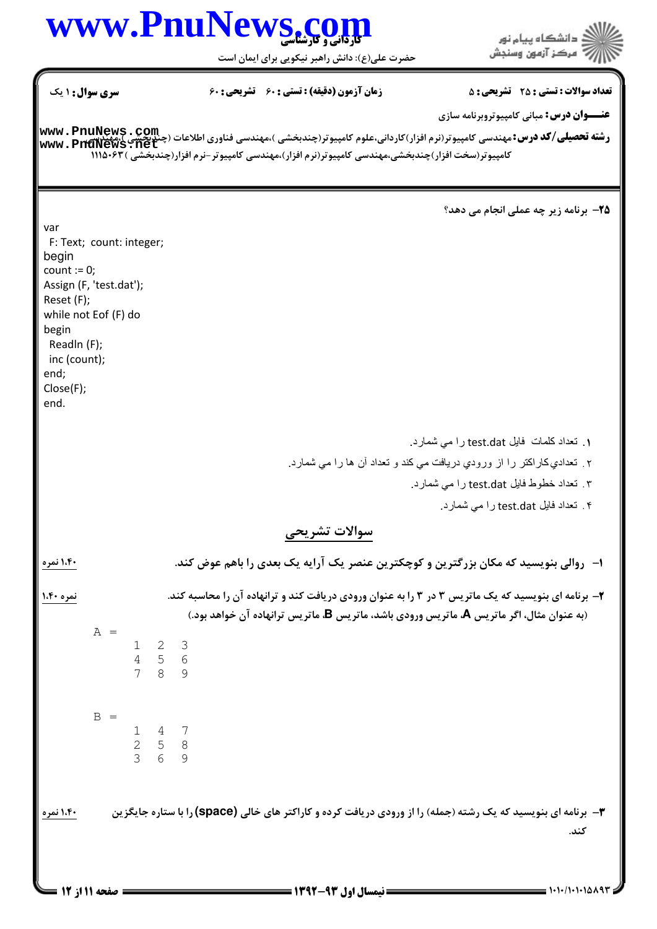حضرت علي(ع): دانش راهبر نيكويي براي ايمان است

| <b>سری سوال : ۱ یک</b>                                                | <b>زمان آزمون (دقیقه) : تستی : 60 ٪ تشریحی : 60</b>                                              | <b>تعداد سوالات : تستی : 25 ۔ تشریحی : 5</b>                                                                                                          |
|-----------------------------------------------------------------------|--------------------------------------------------------------------------------------------------|-------------------------------------------------------------------------------------------------------------------------------------------------------|
|                                                                       |                                                                                                  | <b>عنـــوان درس:</b> مباني کامپيوتروبرنامه سازي                                                                                                       |
|                                                                       |                                                                                                  | <b>رشته تحصیلی/کد درس:</b> مهندسی کامپیوتر(نرم افزار)کاردانی،علوم کامپیوتر(چندبخشی )،مهندسی فناوری اطلاعات (چندبخشی )،مهندسی )<br>www . PnuNews . net |
|                                                                       | کامپیوتر(سخت افزار)چندبخشی،مهندسی کامپیوتر(نرم افزار)،مهندسی کامپیوتر-نرم افزار(چندبخشی )۱۱۱۵۰۶۳ |                                                                                                                                                       |
|                                                                       |                                                                                                  |                                                                                                                                                       |
|                                                                       |                                                                                                  | <b>۲۵</b> ۔ برنامه زیر چه عملی انجام می دهد؟                                                                                                          |
| var<br>F: Text; count: integer;                                       |                                                                                                  |                                                                                                                                                       |
| begin<br>count := $0$ ;                                               |                                                                                                  |                                                                                                                                                       |
| Assign (F, 'test.dat');                                               |                                                                                                  |                                                                                                                                                       |
| Reset (F);<br>while not Eof (F) do                                    |                                                                                                  |                                                                                                                                                       |
| begin                                                                 |                                                                                                  |                                                                                                                                                       |
| Readln (F);<br>inc (count);                                           |                                                                                                  |                                                                                                                                                       |
| end;                                                                  |                                                                                                  |                                                                                                                                                       |
| Close(F);<br>end.                                                     |                                                                                                  |                                                                                                                                                       |
|                                                                       |                                                                                                  |                                                                                                                                                       |
|                                                                       |                                                                                                  | <b>۱</b> . تعداد كلمات فايل test.dat را مى شمارد.                                                                                                     |
|                                                                       |                                                                                                  | ۲ ـ تعدادي كار اكتر را از ورودي دريافت مي كند و تعداد آن ها را مي شمارد.                                                                              |
|                                                                       |                                                                                                  | ۳. تعداد خطوط فایل test.dat را می شمارد.                                                                                                              |
|                                                                       |                                                                                                  | ۴. تعداد فایل test.dat را می شمارد.                                                                                                                   |
|                                                                       | سوالات تشريحي                                                                                    |                                                                                                                                                       |
| ۱،۴۰ نمره                                                             | ۱– روالی بنویسید که مکان بزرگترین و کوچکترین عنصر یک آرایه یک بعدی را باهم عوض کند.              |                                                                                                                                                       |
| نمره ۱.۴۰                                                             |                                                                                                  | ۲- برنامه ای بنویسید که یک ماتریس ۳ در ۳ را به عنوان ورودی دریافت کند و ترانهاده آن را محاسبه کند.                                                    |
|                                                                       | (به عنوان مثال، اگر ماتریس Å ماتریس ورودی باشد، ماتریس B، ماتریس ترانهاده آن خواهد بود.)         |                                                                                                                                                       |
| $A =$<br>$1 \quad 2 \quad 3$                                          |                                                                                                  |                                                                                                                                                       |
| 4 5 6<br>8<br>7<br>9                                                  |                                                                                                  |                                                                                                                                                       |
|                                                                       |                                                                                                  |                                                                                                                                                       |
| $B =$                                                                 |                                                                                                  |                                                                                                                                                       |
| $\begin{array}{cccc} 1 & 4 & 7 \\ 2 & 5 & 8 \\ 3 & 6 & 9 \end{array}$ |                                                                                                  |                                                                                                                                                       |
|                                                                       |                                                                                                  |                                                                                                                                                       |
|                                                                       |                                                                                                  |                                                                                                                                                       |
| ۱،۴۰ نمره                                                             |                                                                                                  | ۳- برنامه ای بنویسید که یک رشته (جمله) را از ورودی دریافت کرده و کاراکتر های خالی (space) را با ستاره جایگزین                                         |
|                                                                       |                                                                                                  | كند.                                                                                                                                                  |
|                                                                       |                                                                                                  |                                                                                                                                                       |
|                                                                       |                                                                                                  |                                                                                                                                                       |